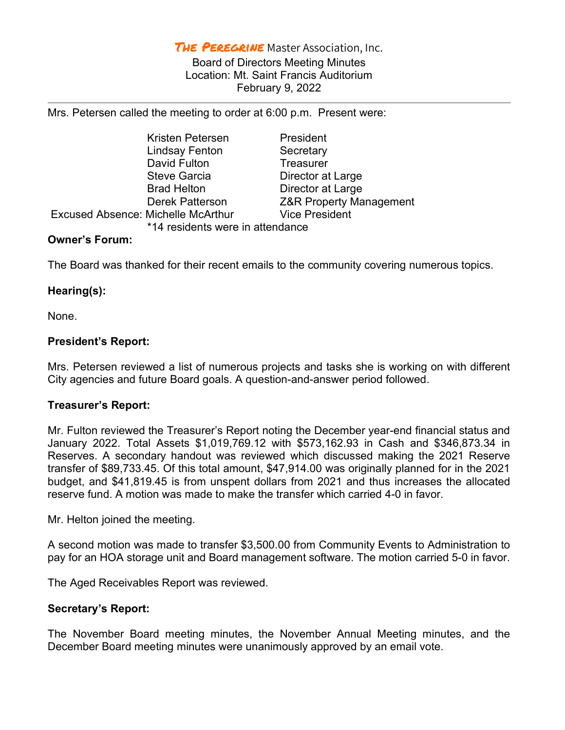THE PEREGRINE Master Association, Inc.

Board of Directors Meeting Minutes Location: Mt. Saint Francis Auditorium February 9, 2022

Mrs. Petersen called the meeting to order at 6:00 p.m. Present were:

\*14 residents were in attendance

 Kristen Petersen President Lindsay Fenton Secretary David Fulton **Treasurer** Steve Garcia **Director at Large** Brad Helton Director at Large Excused Absence: Michelle McArthur Vice President

Derek Patterson Z&R Property Management

Owner's Forum:

The Board was thanked for their recent emails to the community covering numerous topics.

## Hearing(s):

None.

## President's Report:

Mrs. Petersen reviewed a list of numerous projects and tasks she is working on with different City agencies and future Board goals. A question-and-answer period followed.

## Treasurer's Report:

Mr. Fulton reviewed the Treasurer's Report noting the December year-end financial status and January 2022. Total Assets \$1,019,769.12 with \$573,162.93 in Cash and \$346,873.34 in Reserves. A secondary handout was reviewed which discussed making the 2021 Reserve transfer of \$89,733.45. Of this total amount, \$47,914.00 was originally planned for in the 2021 budget, and \$41,819.45 is from unspent dollars from 2021 and thus increases the allocated reserve fund. A motion was made to make the transfer which carried 4-0 in favor.

Mr. Helton joined the meeting.

A second motion was made to transfer \$3,500.00 from Community Events to Administration to pay for an HOA storage unit and Board management software. The motion carried 5-0 in favor.

The Aged Receivables Report was reviewed.

## Secretary's Report:

The November Board meeting minutes, the November Annual Meeting minutes, and the December Board meeting minutes were unanimously approved by an email vote.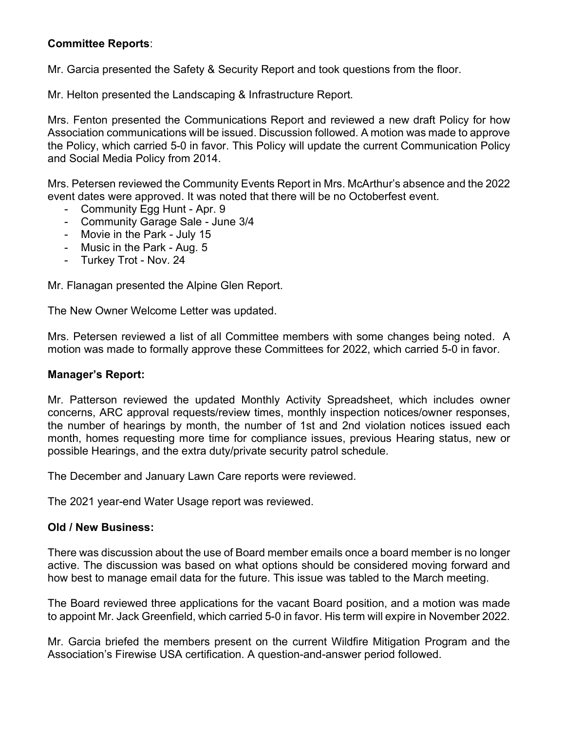# Committee Reports:

Mr. Garcia presented the Safety & Security Report and took questions from the floor.

Mr. Helton presented the Landscaping & Infrastructure Report.

Mrs. Fenton presented the Communications Report and reviewed a new draft Policy for how Association communications will be issued. Discussion followed. A motion was made to approve the Policy, which carried 5-0 in favor. This Policy will update the current Communication Policy and Social Media Policy from 2014.

Mrs. Petersen reviewed the Community Events Report in Mrs. McArthur's absence and the 2022 event dates were approved. It was noted that there will be no Octoberfest event.

- Community Egg Hunt Apr. 9
- Community Garage Sale June 3/4
- Movie in the Park July 15
- Music in the Park Aug. 5
- Turkey Trot Nov. 24

Mr. Flanagan presented the Alpine Glen Report.

The New Owner Welcome Letter was updated.

Mrs. Petersen reviewed a list of all Committee members with some changes being noted. A motion was made to formally approve these Committees for 2022, which carried 5-0 in favor.

## Manager's Report:

Mr. Patterson reviewed the updated Monthly Activity Spreadsheet, which includes owner concerns, ARC approval requests/review times, monthly inspection notices/owner responses, the number of hearings by month, the number of 1st and 2nd violation notices issued each month, homes requesting more time for compliance issues, previous Hearing status, new or possible Hearings, and the extra duty/private security patrol schedule.

The December and January Lawn Care reports were reviewed.

The 2021 year-end Water Usage report was reviewed.

## Old / New Business:

There was discussion about the use of Board member emails once a board member is no longer active. The discussion was based on what options should be considered moving forward and how best to manage email data for the future. This issue was tabled to the March meeting.

The Board reviewed three applications for the vacant Board position, and a motion was made to appoint Mr. Jack Greenfield, which carried 5-0 in favor. His term will expire in November 2022.

Mr. Garcia briefed the members present on the current Wildfire Mitigation Program and the Association's Firewise USA certification. A question-and-answer period followed.